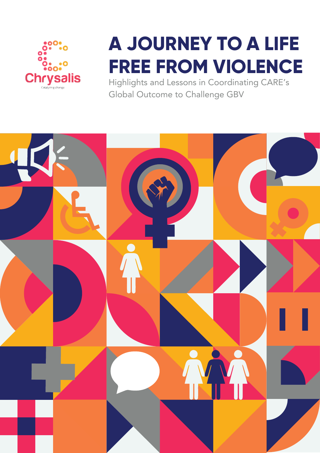

# **A JOURNEY TO A LIFE FREE FROM VIOLENCE**

Highlights and Lessons in Coordinating CARE's Global Outcome to Challenge GBV

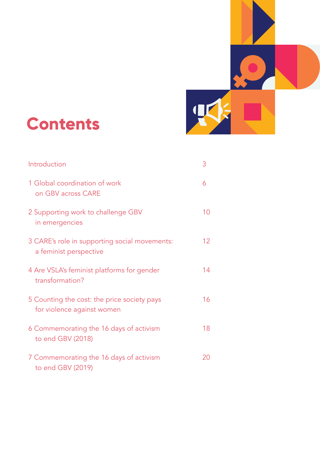

## **Contents**

| Introduction                                                              | 3  |
|---------------------------------------------------------------------------|----|
| 1 Global coordination of work<br>on GBV across CARE                       | 6  |
| 2 Supporting work to challenge GBV<br>in emergencies                      | 10 |
| 3 CARE's role in supporting social movements:<br>a feminist perspective   | 12 |
| 4 Are VSLA's feminist platforms for gender<br>transformation?             | 14 |
| 5 Counting the cost: the price society pays<br>for violence against women | 16 |
| 6 Commemorating the 16 days of activism<br>to end GBV (2018)              | 18 |
| 7 Commemorating the 16 days of activism<br>to end GBV (2019)              | 20 |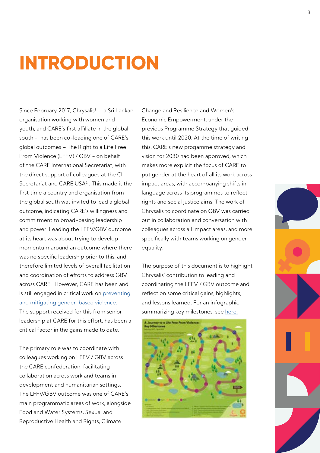## **INTRODUCTION**

Since February 2017, Chrysalis<sup>1</sup> – a Sri Lankan organisation working with women and youth, and CARE's first affiliate in the global south - has been co-leading one of CARE's global outcomes – The Right to a Life Free From Violence (LFFV) / GBV - on behalf of the CARE International Secretariat, with the direct support of colleagues at the CI Secretariat and CARE USA<sup>2</sup>. This made it the first time a country and organisation from the global south was invited to lead a global outcome, indicating CARE's willingness and commitment to broad-basing leadership and power. Leading the LFFV/GBV outcome at its heart was about trying to develop momentum around an outcome where there was no specific leadership prior to this, and therefore limited levels of overall facilitation and coordination of efforts to address GBV across CARE. However, CARE has been and is still engaged in critical work on preventing [and mitigating gender-based violence.](https://insights.careinternational.org.uk/development-blog/the-learning-behind-the-numbers-how-care-is-helping-prevent-gender-based-violence)  The support received for this from senior leadership at CARE for this effort, has been a critical factor in the gains made to date.

The primary role was to coordinate with colleagues working on LFFV / GBV across the CARE confederation, facilitating collaboration across work and teams in development and humanitarian settings. The LFFV/GBV outcome was one of CARE's main programmatic areas of work, alongside Food and Water Systems, Sexual and Reproductive Health and Rights, Climate

Change and Resilience and Women's Economic Empowerment, under the previous Programme Strategy that guided this work until 2020. At the time of writing this, CARE's new progamme strategy and vision for 2030 had been approved, which makes more explicit the focus of CARE to put gender at the heart of all its work across impact areas, with accompanying shifts in language across its programmes to reflect rights and social justice aims. The work of Chrysalis to coordinate on GBV was carried out in collaboration and conversation with colleagues across all impact areas, and more specifically with teams working on gender equality.

The purpose of this document is to highlight Chrysalis' contribution to leading and coordinating the LFFV / GBV outcome and reflect on some critical gains, highlights, and lessons learned. For an infographic summarizing key milestones, see [here.](https://www.chrysaliscatalyz.com/wp-content/uploads/2021/05/LFVV-Infographic_FINAL_May-23-2021.pdf)



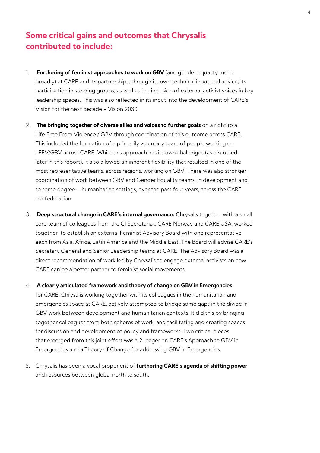## **Some critical gains and outcomes that Chrysalis contributed to include:**

- 1. **Furthering of feminist approaches to work on GBV** (and gender equality more broadly) at CARE and its partnerships, through its own technical input and advice, its participation in steering groups, as well as the inclusion of external activist voices in key leadership spaces. This was also reflected in its input into the development of CARE's Vision for the next decade - Vision 2030.
- 2. **The bringing together of diverse allies and voices to further goals** on a right to a Life Free From Violence / GBV through coordination of this outcome across CARE. This included the formation of a primarily voluntary team of people working on LFFV/GBV across CARE. While this approach has its own challenges (as discussed later in this report), it also allowed an inherent flexibility that resulted in one of the most representative teams, across regions, working on GBV. There was also stronger coordination of work between GBV and Gender Equality teams, in development and to some degree – humanitarian settings, over the past four years, across the CARE confederation.
- 3. **Deep structural change in CARE's internal governance:** Chrysalis together with a small core team of colleagues from the CI Secretariat, CARE Norway and CARE USA, worked together to establish an external Feminist Advisory Board with one representative each from Asia, Africa, Latin America and the Middle East. The Board will advise CARE's Secretary General and Senior Leadership teams at CARE. The Advisory Board was a direct recommendation of work led by Chrysalis to engage external activists on how CARE can be a better partner to feminist social movements.
- 4. **A clearly articulated framework and theory of change on GBV in Emergencies**  for CARE: Chrysalis working together with its colleagues in the humanitarian and

emergencies space at CARE, actively attempted to bridge some gaps in the divide in GBV work between development and humanitarian contexts. It did this by bringing together colleagues from both spheres of work, and facilitating and creating spaces for discussion and development of policy and frameworks. Two critical pieces that emerged from this joint effort was a 2-pager on CARE's Approach to GBV in Emergencies and a Theory of Change for addressing GBV in Emergencies.

5. Chrysalis has been a vocal proponent of **furthering CARE's agenda of shifting power**  and resources between global north to south.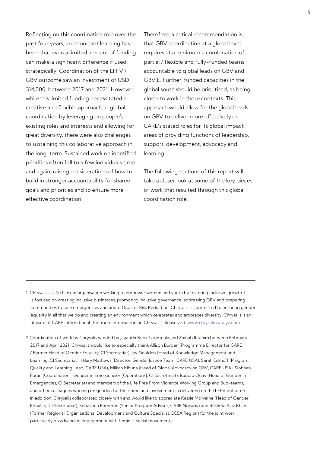Reflecting on this coordination role over the past four years, an important learning has been that even a limited amount of funding can make a significant difference if used strategically. Coordination of the LFFV / GBV outcome saw an investment of USD 314,000 between 2017 and 2021. However, while this limited funding necessitated a creative and flexible approach to global coordination by leveraging on people's existing roles and interests and allowing for great diversity, there were also challenges to sustaining this collaborative approach in the long-term. Sustained work on identified priorities often fell to a few individuals time and again, raising considerations of how to build in stronger accountability for shared goals and priorities and to ensure more effective coordination.

Therefore, a critical recommendation is that GBV coordination at a global level requires at a minimum a combination of partial / flexible and fully-funded teams, accountable to global leads on GBV and GBViE. Further, funded capacities in the global south should be prioritised, as being closer to work in those contexts. This approach would allow for the global leads on GBV to deliver more effectively on CARE's stated roles for its global impact areas of providing functions of leadership, support, development, advocacy and learning.

The following sections of this report will take a closer look at some of the key pieces of work that resulted through this global coordination role.

- 1 Chrysalis is a Sri Lankan organisation working to empower women and youth by fostering inclusive growth. It is focused on creating inclusive businesses, promoting inclusive governance, addressing GBV and preparing communities to face emergencies and adopt Disaster Risk Reduction. Chrysalis is committed to ensuring gender equality in all that we do and creating an environment which celebrates and embraces diversity. Chrysalis is an affiliate of CARE International. For more information on Chrysalis, please visit: www.chrysaliscatalyz.com
- 2 Coordination of work by Chrysalis was led by Jayanthi Kuru-Utumpala and Zainab Ibrahim between February 2017 and April 2021. Chrysalis would like to especially thank Allison Burden (Programme Director for CARE / Former Head of Gender Equality, CI Secretariat), Jay Goulden (Head of Knowledge Management and Learning, CI Secretariat), Hilary Mathews (Director, Gender Justice Team, CARE USA), Sarah Eckhoff (Program Quality and Learning Lead, CARE USA), Milkah Kihuna (Head of Global Advocacy on GBV, CARE USA), Siobhan Foran (Coordinator – Gender in Emergencies [Operations], CI Secretariat), Isadora Quay (Head of Gender in Emergencies, CI Secretariat) and members of the Life Free From Violence Working Group and Sub-teams, and other colleagues working on gender, for their time and involvement in delivering on the LFFV outcome. In addition, Chrysalis collaborated closely with and would like to appreciate Kassie McIlvaine (Head of Gender Equality, CI Secretariat), Sebastien Fornerod (Senior Program Adviser, CARE Norway) and Reshma Aziz Khan (Former Regional Organizational Development and Culture Specialist, ECSA Region) for the joint work, particularly on advancing engagement with feminist social movements.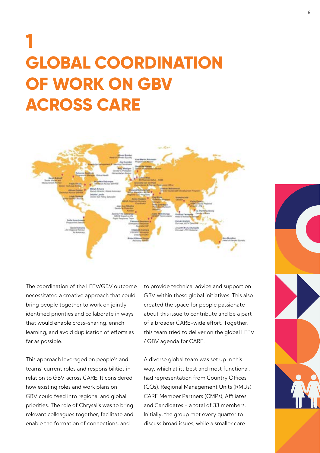## **1 GLOBAL COORDINATION OF WORK ON GBV ACROSS CARE**



The coordination of the LFFV/GBV outcome necessitated a creative approach that could bring people together to work on jointly identified priorities and collaborate in ways that would enable cross-sharing, enrich learning, and avoid duplication of efforts as far as possible.

This approach leveraged on people's and teams' current roles and responsibilities in relation to GBV across CARE. It considered how existing roles and work plans on GBV could feed into regional and global priorities. The role of Chrysalis was to bring relevant colleagues together, facilitate and enable the formation of connections, and

to provide technical advice and support on GBV within these global initiatives. This also created the space for people passionate about this issue to contribute and be a part of a broader CARE-wide effort. Together, this team tried to deliver on the global LFFV / GBV agenda for CARE.

A diverse global team was set up in this way, which at its best and most functional, had representation from Country Offices (COs), Regional Management Units (RMUs), CARE Member Partners (CMPs), Affiliates and Candidates - a total of 33 members. Initially, the group met every quarter to discuss broad issues, while a smaller core

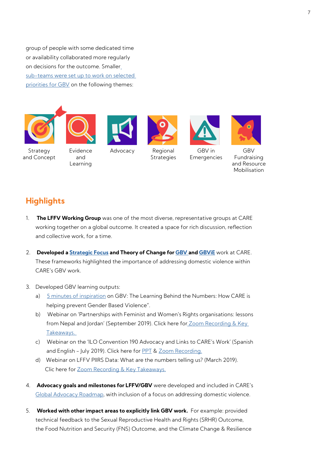group of people with some dedicated time or availability collaborated more regularly on decisions for the outcome. Smalle[r](http://gender.careinternationalwikis.org/_media/lffv_update_-_oct_2018.pdf) [sub-teams were set up to work on selected](http://gender.careinternationalwikis.org/_media/lffv_update_-_oct_2018.pdf)  [priorities for GBV](http://gender.careinternationalwikis.org/_media/lffv_update_-_oct_2018.pdf) on the following themes:













GBV Fundraising and Resource Mobilisation

### **Strategy** and Concept

Evidence and Learning

Advocacy

Regional **Strategies** 

Emergencies

## **Highlights**

- 1. **The LFFV Working Group** was one of the most diverse, representative groups at CARE working together on a global outcome. It created a space for rich discussion, reflection and collective work, for a time.
- 2. **Developed a [Strategic Focus](https://drive.google.com/file/d/1AV8kA0sqBRObpEU_E8-BHUjqml8bH37B/view) and Theory of Change for [GBV a](https://insights.careinternational.org.uk/images/in-practice/GBV/GBV_theory-of-change_Prevention-and-mitigation-of-GBV_2018.pdf)nd [GBViE](https://insights.careinternational.org.uk/images/in-practice/GBV/GBV_CARE-Framework-and-ToC-for-Addressing-GBViE_final_10042019.pdf)** work at CARE. These frameworks highlighted the importance of addressing domestic violence within CARE's GBV work.
- 3. Developed GBV learning outputs:
	- a) [5 minutes of inspiration](https://mailchi.mp/7b761a5e48b0/5-min-inspiration?e=f0588dcb4a) on GBV: The Learning Behind the Numbers: How CARE is helping prevent Gender Based Violence".
	- b) Webinar on 'Partnerships with Feminist and Women's Rights organisations: lessons from Nepal and Jordan' (September 2019). Click here for Zoom Recording & Key  [Takeaways.](https://careinternational.sharepoint.com/sites/Global-EndingGBV-Hub/SitePages/Webinar-on.aspx)
	- c) Webinar on the 'ILO Convention 190 Advocacy and Links to CARE's Work' (Spanish and English - July 2019). Click here for [PPT](https://careinternational.sharepoint.com/:p:/r/sites/Global-EndingGBV-Hub/_layouts/15/Doc.aspx?sourcedoc=%7B5E5376AE-A507-4D99-86A6-2AD6A2F31500%7D&file=LFFV%20Webinar%20Presentation%20on%20ILO%20190_violence%20and%20harrassment%20in%20the%20world%20of%20work.pptx&action=edit&mobileredirect=true&DefaultItemOpen=1) & [Zoom Recording.](https://careinternational.sharepoint.com/sites/Global-EndingGBV-Hub/SitePages/)
	- d) Webinar on LFFV PIIRS Data: What are the numbers telling us? (March 2019). Clic here for [Zoom Recording & Key Takeaways.](https://careinternational.sharepoint.com/sites/Global-EndingGBV-Hub/SitePages/LFFV-PIIRS-data-FY19--What-are-the-numbers-telling-us-.aspx)
- 4. **Advocacy goals and milestones for LFFV/GBV** were developed and included in CARE's [Global Advocacy Roadmap,](https://careinternational.sharepoint.com/sites/Global-Advocacy-Hub/SiteAssets/SitePages/Key-Resources/2020 Global Advocacy roadmap.pdf) with inclusion of a focus on addressing domestic violence.
- 5. **Worked with other impact areas to explicitly link GBV work.** For example: provided technical feedback to the Sexual Reproductive Health and Rights (SRHR) Outcome, the Food Nutrition and Security (FNS) Outcome, and the Climate Change & Resilience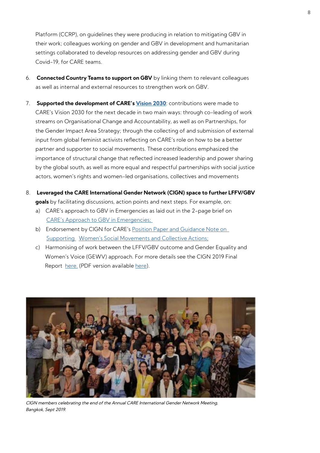Platform (CCRP), on guidelines they were producing in relation to mitigating GBV in their work; colleagues working on gender and GBV in development and humanitarian settings collaborated to develop resources on addressing gender and GBV during Covid-19, for CARE teams.

- 6. **Connected Country Teams to support on GBV** by linking them to relevant colleagues as well as internal and external resources to strengthen work on GBV.
- 7. **Supported the development of CARE's [Vision 2030](https://www.careinternational.org.uk/sites/default/files/CARE-2030-Vision.pdf)**: contributions were made to CARE's Vision 2030 for the next decade in two main ways: through co-leading of work streams on Organisational Change and Accountability, as well as on Partnerships, for the Gender Impact Area Strategy; through the collecting of and submission of external input from global feminist activists reflecting on CARE's role on how to be a better partner and supporter to social movements. These contributions emphasized the importance of structural change that reflected increased leadership and power sharing by the global south, as well as more equal and respectful partnerships with social justice actors, women's rights and women-led organisations, collectives and movements
- 8. **Leveraged the CARE International Gender Network (CIGN) space to further LFFV/GBV goals** by facilitating discussions, action points and next steps. For example, on:
	- a) CARE's approach to GBV in Emergencies as laid out in the 2-page brief on [CARE's Approach to GBV in Emergencies;](https://drive.google.com/file/d/1tQnXlIgRkjxYS3uqGgBDU5oudpSgVw96/view?usp=sharing)
	- b) Endorsement by CIGN for CARE's Position Paper and Guidance Note on  [Supporting Women's Social Movements and Collective Actions;](https://insights.careinternational.org.uk/publications/supporting-women-s-social-movements-and-collective-actions-care-position-paper-and-guidance-note)
	- c) Harmonising of work between the LFFV/GBV outcome and Gender Equality and Women's Voice (GEWV) approach. For more details see the CIGN 2019 Final Report [here.](https://careinternational.sharepoint.com/:w:/r/sites/Global-GenderEquality-Hub/_layouts/15/Doc.aspx?sourcedoc=%7B847C551D-94AF-45E4-B7D9-85ADABF3507F%7D&file=CIGN%20final%20%20Report%202019%20Bangkok_V2.docx&action=default&mobileredirect=true) (PDF version available [here\)](https://drive.google.com/file/d/187PzpJNd_lRmrslfT96FV8mk_qP-ynX5/view?usp=sharing).



CIGN members celebrating the end of the Annual CARE International Gender Network Meeting, Bangkok, Sept 2019.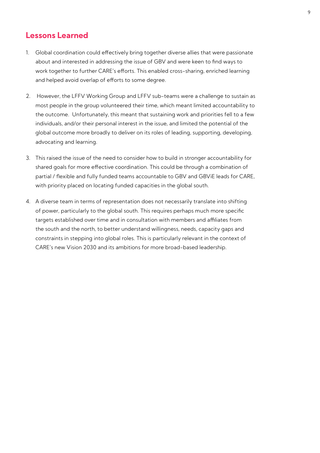### **Lessons Learned**

- 1. Global coordination could effectively bring together diverse allies that were passionate about and interested in addressing the issue of GBV and were keen to find ways to work together to further CARE's efforts. This enabled cross-sharing, enriched learning and helped avoid overlap of efforts to some degree.
- 2. However, the LFFV Working Group and LFFV sub-teams were a challenge to sustain as most people in the group volunteered their time, which meant limited accountability to the outcome. Unfortunately, this meant that sustaining work and priorities fell to a few individuals, and/or their personal interest in the issue, and limited the potential of the global outcome more broadly to deliver on its roles of leading, supporting, developing, advocating and learning.
- 3. This raised the issue of the need to consider how to build in stronger accountability for shared goals for more effective coordination. This could be through a combination of partial / flexible and fully funded teams accountable to GBV and GBViE leads for CARE, with priority placed on locating funded capacities in the global south.
- 4. A diverse team in terms of representation does not necessarily translate into shifting of power, particularly to the global south. This requires perhaps much more specific targets established over time and in consultation with members and affiliates from the south and the north, to better understand willingness, needs, capacity gaps and constraints in stepping into global roles. This is particularly relevant in the context of CARE's new Vision 2030 and its ambitions for more broad-based leadership.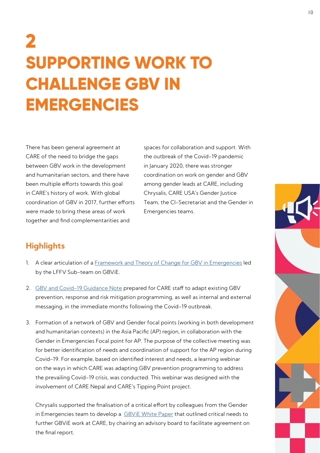## **2 SUPPORTING WORK TO CHALLENGE GBV IN EMERGENCIES**

There has been general agreement at CARE of the need to bridge the gaps between GBV work in the development and humanitarian sectors, and there have been multiple efforts towards this goal in CARE's history of work. With global coordination of GBV in 2017, further efforts were made to bring these areas of work together and find complementarities and

spaces for collaboration and support. With the outbreak of the Covid-19 pandemic in January 2020, there was stronger coordination on work on gender and GBV among gender leads at CARE, including Chrysalis, CARE USA's Gender Justice Team, the CI-Secretariat and the Gender in Emergencies teams.

## **Highlights**

- 1. A clear articulation of a [Framework and Theory of Change for GBV in Emergencies](https://insights.careinternational.org.uk/images/in-practice/GBV/GBV_CARE-Framework-and-ToC-for-Addressing-GBViE_final_10042019.pdf) led by the LFFV Sub-team on GBViE.
- 2. [GBV and Covid-19 Guidance Note](https://drive.google.com/file/d/1ejkFEdbD9bUn0xP6TbhxqWNu0UBppG0B/view?usp=sharing) prepared for CARE staff to adapt existing GBV prevention, response and risk mitigation programming, as well as internal and external messaging, in the immediate months following the Covid-19 outbreak.
- 3. Formation of a network of GBV and Gender focal points (working in both development and humanitarian contexts) in the Asia Pacific (AP) region, in collaboration with the Gender in Emergencies Focal point for AP. The purpose of the collective meeting was for better identification of needs and coordination of support for the AP region during Covid-19. For example, based on identified interest and needs, a learning webinar on the ways in which CARE was adapting GBV prevention programming to address the prevailing Covid-19 crisis, was conducted. This webinar was designed with the involvement of CARE Nepal and CARE's Tipping Point project.

Chrysalis supported the finalisation of a critical effort by colleagues from the Gender in Emergencies team to develop a [GBViE White Paper](https://drive.google.com/file/d/14twRUouyF97zIpEhqqMBsHSXMMm4LDRI/view?usp=sharing) that outlined critical needs to further GBViE work at CARE, by chairing an advisory board to facilitate agreement on the final report.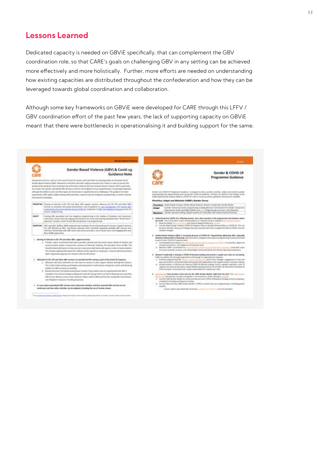### **Lessons Learned**

Dedicated capacity is needed on GBViE specifically, that can complement the GBV coordination role, so that CARE's goals on challenging GBV in any setting can be achieved more effectively and more holistically. Further, more efforts are needed on understanding how existing capacities are distributed throughout the confederation and how they can be leveraged towards global coordination and collaboration.

Although some key frameworks on GBViE were developed for CARE through this LFFV / GBV coordination effort of the past few years, the lack of supporting capacity on GBViE meant that there were bottlenecks in operationalising it and building support for the same.

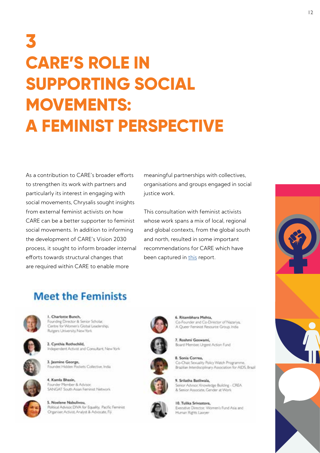## **3 CARE'S ROLE IN SUPPORTING SOCIAL MOVEMENTS: A FEMINIST PERSPECTIVE**

As a contribution to CARE's broader efforts to strengthen its work with partners and particularly its interest in engaging with social movements, Chrysalis sought insights from external feminist activists on how CARE can be a better supporter to feminist social movements. In addition to informing the development of CARE's Vision 2030 process, it sought to inform broader internal efforts towards structural changes that are required within CARE to enable more

meaningful partnerships with collectives, organisations and groups engaged in social justice work.

This consultation with feminist activists whose work spans a mix of local, regional and global contexts, from the global south and north, resulted in some important recommendations for CARE which have been captured in [this](https://insights.careinternational.org.uk/images/in-practice/Movements/CAREs-Role-in-Supporting-Social-Movements_A-feminist-perspective_June-2020.pdf) report.



## **Meet the Feminists**



1. Charlotte Bunch, Founding Director & Senior Scholar, Centre for Women's Global Leadership, Rutgers University, New York







Founder, Hidden Pockets Collective, India



3. Jasmine George,

5. Noelene Nabulivou, Political Advisor, DIVA for Equality, Pacific Ferninist Organiser, Activist, Analyst & Advocate, Fiji





8. Sonia Correa, Co-Chair, Sexuality Policy Watch Programme, Brazilian Interdisciplinary Association for AIDS, Brazil



9. Srilatha Batliwala, Serior Advisor, Knowledge Building - CREA & Senior Associate, Gender at Work



10. Tulika Srivastava, Executive Director: Women's Fund Asia and Human Rights Lawyer

6. Ritambhara Mehta. Co-Founder and Co-Director of Nazariya. A Queer Feminist Resource Group, India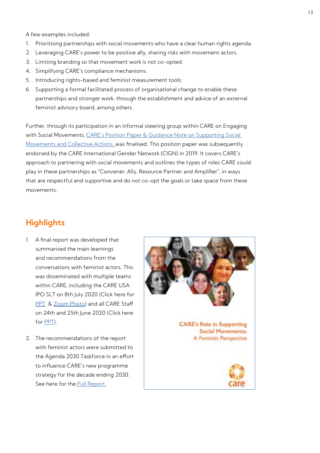A few examples included:

- 1. Prioritising partnerships with social movements who have a clear human rights agenda.
- 2. Leveraging CARE's power to be positive ally, sharing risks with movement actors.
- 3. Limiting branding so that movement work is not co-opted.
- 4. Simplifying CARE's compliance mechanisms.
- 5. Introducing rights-based and feminist measurement tools;
- 6. Supporting a formal facilitated process of organisational change to enable these partnerships and stronger work, through the establishment and advice of an external feminist advisory board, among others.

Further, through its participation in an informal steering group within CARE on Engaging with Social Movements, [CARE's Position Paper & Guidance Note on Supporting Social](https://insights.careinternational.org.uk/publications/supporting-women-s-social-movements-and-collective-actions-care-position-paper-and-guidance-note)  [Movements and Collective Actions,](https://insights.careinternational.org.uk/publications/supporting-women-s-social-movements-and-collective-actions-care-position-paper-and-guidance-note) was finalised. This position paper was subsequently endorsed by the CARE International Gender Network (CIGN) in 2019. It covers CARE's approach to partnering with social movements and outlines the types of roles CARE could play in these partnerships as "Convener, Ally, Resource Partner and Amplifier", in ways that are respectful and supportive and do not co-opt the goals or take space from these movements.

### **Highlights**

- 1. A final report was developed that summarised the main learnings and recommendations from the conversations with feminist actors. This was disseminated with multiple teams within CARE, including the CARE USA IPO SLT on 8th July 2020 (Click here for [PPT](https://drive.google.com/file/d/1XzJz2YHtTFqseAhckxEZ98S7qVNeEuGr/view?usp=sharing) & [Zoom Photo](https://drive.google.com/file/d/1rtGhEXte49l_Db0qKtNa1VFyzwu-rO4J/view?usp=sharing)) and all CARE Staff on 24th and 25th June 2020 (Click here for [PPT\)](https://drive.google.com/file/d/1szdQL1G7h9mgsgWjX7wGf7e9riBn6J5e/view?usp=sharing).
- 2. The recommendations of the report with feminist actors were submitted to the Agenda 2030 Taskforce in an effort to influence CARE's new programme strategy for the decade ending 2030. See here for the **Full Report.**

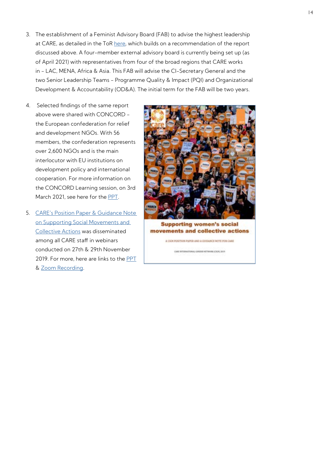- 3. The establishment of a Feminist Advisory Board (FAB) to advise the highest leadership at CARE, as detailed in the ToR [here](https://drive.google.com/file/d/1uWBtCH65De8vh0JsPGdzL2qlWXZZzB0j/view?usp=sharing), which builds on a recommendation of the report discussed above. A four-member external advisory board is currently being set up (as of April 2021) with representatives from four of the broad regions that CARE works in - LAC, MENA, Africa & Asia. This FAB will advise the CI-Secretary General and the two Senior Leadership Teams - Programme Quality & Impact (PQI) and Organizational Development & Accountability (OD&A). The initial term for the FAB will be two years.
- 4. Selected findings of the same report above were shared with CONCORD the European confederation for relief and development NGOs. With 56 members, the confederation represents over 2,600 NGOs and is the main interlocutor with EU institutions on development policy and international cooperation. For more information on the CONCORD Learning session, on 3rd March 2021, see here for the [PPT](https://drive.google.com/file/d/1OaRVTiGmjLUNm4TbJhwdyVOeC-SFL_qy/view?usp=sharing).
- 5. [CARE's Position Paper & Guidance Note](https://insights.careinternational.org.uk/publications/supporting-women-s-social-movements-and-collective-actions-care-position-paper-and-guidance-note)  [on Supporting Social Movements and](https://insights.careinternational.org.uk/publications/supporting-women-s-social-movements-and-collective-actions-care-position-paper-and-guidance-note)  [Collective Actions](https://insights.careinternational.org.uk/publications/supporting-women-s-social-movements-and-collective-actions-care-position-paper-and-guidance-note) was disseminated among all CARE staff in webinars conducted on 27th & 29th November 2019. For more, here are links to the [PPT](https://drive.google.com/file/d/17FfHatb6Y_Ic7fRT8wDIpDhvmRXTCs-r/view?usp=sharing) & [Zoom Recording.](https://drive.google.com/file/d/1Za7yihJfFHI_E01hnjR0-3z5rm_peMJY/view?usp=sharing)



**Supporting women's social** movements and collective actions

A CION POSITION PAPER AND A COSSANCE NOTE FOR CARE

CARE INTERNATIONAL GENERA NETWORK (CNO), 2019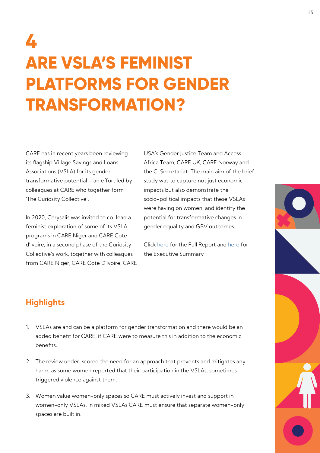## **4 ARE VSLA'S FEMINIST PLATFORMS FOR GENDER TRANSFORMATION?**

CARE has in recent years been reviewing its flagship Village Savings and Loans Associations (VSLA) for its gender transformative potential – an effort led by colleagues at CARE who together form 'The Curiosity Collective'.

In 2020, Chrysalis was invited to co-lead a feminist exploration of some of its VSLA programs in CARE Niger and CARE Cote d'Ivoire, in a second phase of the Curiosity Collective's work, together with colleagues from CARE Niger, CARE Cote D'Ivoire, CARE USA's Gender Justice Team and Access Africa Team, CARE UK, CARE Norway and the CI Secretariat. The main aim of the brief study was to capture not just economic impacts but also demonstrate the socio-political impacts that these VSLAs were having on women, and identify the potential for transformative changes in gender equality and GBV outcomes.

Click [here](https://insights.careinternational.org.uk/media/k2/attachments/VSLA_in_West_Africa_as_feminist_spaces_for_gender_transformation_Full_document_Final.pdf) for the Full Report and [here](https://insights.careinternational.org.uk/media/k2/attachments/Executive-Summary_VSLA-as-feminst-platforms_English_2020.pdf) for the Executive Summary

## **Highlights**

- 1. VSLAs are and can be a platform for gender transformation and there would be an added benefit for CARE, if CARE were to measure this in addition to the economic benefits.
- 2. The review under-scored the need for an approach that prevents and mitigates any harm, as some women reported that their participation in the VSLAs, sometimes triggered violence against them.
- 3. Women value women-only spaces so CARE must actively invest and support in women-only VSLAs. In mixed VSLAs CARE must ensure that separate women-only spaces are built in.

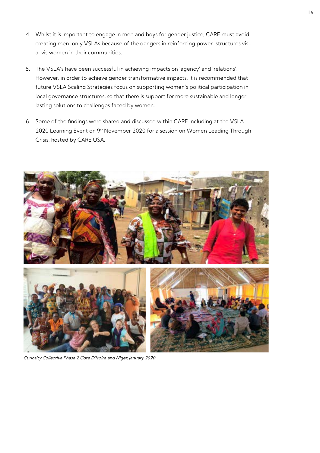- 4. Whilst it is important to engage in men and boys for gender justice, CARE must avoid creating men-only VSLAs because of the dangers in reinforcing power-structures visa-vis women in their communities.
- 5. The VSLA's have been successful in achieving impacts on 'agency' and 'relations'. However, in order to achieve gender transformative impacts, it is recommended that future VSLA Scaling Strategies focus on supporting women's political participation in local governance structures, so that there is support for more sustainable and longer lasting solutions to challenges faced by women.
- 6. Some of the findings were shared and discussed within CARE including at the VSLA 2020 Learning Event on 9<sup>th</sup> November 2020 for a session on Women Leading Through Crisis, hosted by CARE USA.



Curiosity Collective Phase 2 Cote D'Ivoire and Niger, January 2020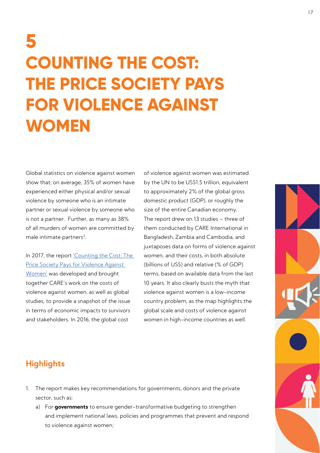## **5 COUNTING THE COST: THE PRICE SOCIETY PAYS FOR VIOLENCE AGAINST WOMEN**

Global statistics on violence against women show that, on average, 35% of women have experienced either physical and/or sexual violence by someone who is an intimate partner or sexual violence by someone who is not a partner. Further, as many as 38% of all murders of women are committed by male intimate partners<sup>3</sup>.

In 2017, the report 'Counting the Cost: The [Price Society Pays for Violence Against](https://www.care-international.org/files/files/Counting_the_costofViolence.pdf)  [Women'](https://www.care-international.org/files/files/Counting_the_costofViolence.pdf) was developed and brought together CARE's work on the costs of violence against women, as well as global studies, to provide a snapshot of the issue in terms of economic impacts to survivors and stakeholders. In 2016, the global cost

of violence against women was estimated by the UN to be US\$1.5 trillion, equivalent to approximately 2% of the global gross domestic product (GDP), or roughly the size of the entire Canadian economy. The report drew on 13 studies – three of them conducted by CARE International in Bangladesh, Zambia and Cambodia, and juxtaposes data on forms of violence against women, and their costs, in both absolute (billions of US\$) and relative (% of GDP) terms, based on available data from the last 10 years. It also clearly busts the myth that violence against women is a low-income country problem, as the map highlights the global scale and costs of violence against women in high-income countries as well.

## **Highlights**

- 1. The report makes key recommendations for governments, donors and the private sector, such as:
	- a) For **governments** to ensure gender-transformative budgeting to strengthen and implement national laws, policies and programmes that prevent and respond to violence against women;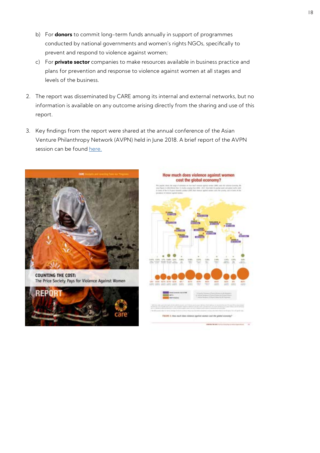- b) For **donors** to commit long-term funds annually in support of programmes conducted by national governments and women's rights NGOs, specifically to prevent and respond to violence against women;
- c) For **private sector** companies to make resources available in business practice and plans for prevention and response to violence against women at all stages and levels of the business.
- 2. The report was disseminated by CARE among its internal and external networks, but no information is available on any outcome arising directly from the sharing and use of this report.
- 3. Key findings from the report were shared at the annual conference of the Asian Venture Philanthropy Network (AVPN) held in June 2018. A brief report of the AVPN session can be found here.



**COUNTING THE COST:** The Price Society Pays for Violence Against Women



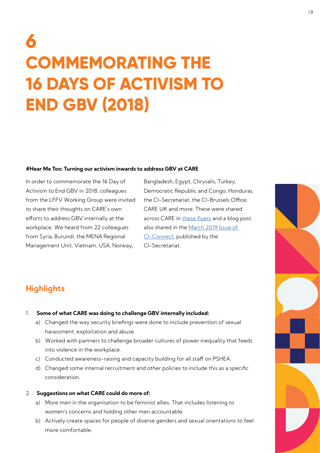## **6 COMMEMORATING THE 16 DAYS OF ACTIVISM TO END GBV (2018)**

#### **#Hear Me Too: Turning our activism inwards to address GBV at CARE**

In order to commemorate the 16 Day of Activism to End GBV in 2018, colleagues from the LFFV Working Group were invited to share their thoughts on CARE's own efforts to address GBV internally at the workplace. We heard from 22 colleagues from Syria, Burundi, the MENA Regional Management Unit, Vietnam, USA, Norway,

Bangladesh, Egypt, Chrysalis, Turkey, Democratic Republic and Congo, Honduras, the CI-Secretariat, the CI-Brussels Office, CARE UK and more. These were shared across CARE in [these flyers](https://drive.google.com/drive/folders/1zMXknMQKgtzWWWPIwYkhUSN3gGkUBvQQ?usp=sharing) and a blog post also shared in the [March 2019 Issue of](https://drive.google.com/file/d/1WN2wTzN1r8E67FxptV2Rr8KtecpEZzgK/view?usp=sharing)  [CI-Connect](https://drive.google.com/file/d/1WN2wTzN1r8E67FxptV2Rr8KtecpEZzgK/view?usp=sharing), published by the CI-Secretariat.

### **Highlights**

#### 1. **Some of what CARE was doing to challenge GBV internally included:**

- a) Changed the way security briefings were done to include prevention of sexual harassment, exploitation and abuse.
- b) Worked with partners to challenge broader cultures of power inequality that feeds into violence in the workplace.
- c) Conducted awareness-raising and capacity building for all staff on PSHEA.
- d) Changed some internal recruitment and other policies to include this as a specific consideration.

#### 2. **Suggestions on what CARE could do more of:**

- a) More men in the organisation to be feminist allies. That includes listening to women's concerns and holding other men accountable.
- b) Actively create spaces for people of diverse genders and sexual orientations to feel more comfortable.

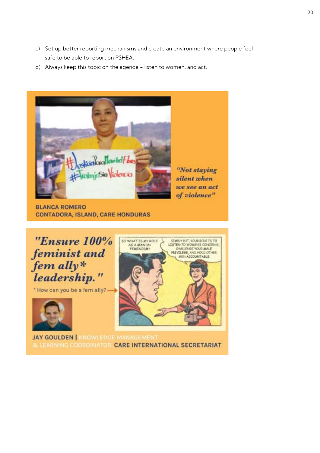- c) Set up better reporting mechanisms and create an environment where people feel safe to be able to report on PSHEA.
- d) Always keep this topic on the agenda listen to women, and act.



"Not staying silent when we see an act of violence"

**BLANCA ROMERO CONTADORA, ISLAND, CARE HONDURAS** 



**JAY GOULDEN | KNOWLEDGE MANAGEMENT** & LEARNING COORDINATOR, CARE INTERNATIONAL SECRETARIAT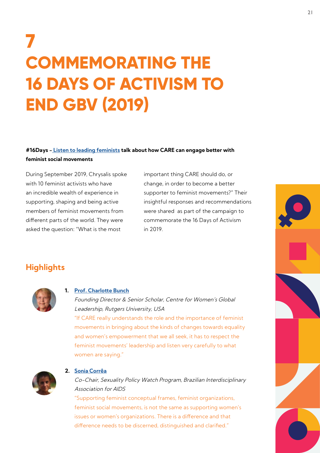## **7 COMMEMORATING THE 16 DAYS OF ACTIVISM TO END GBV (2019)**

### **#16Days - [Listen to leading feminists](https://www.chrysaliscatalyz.com/life-free-from-violence/) talk about how CARE can engage better with feminist social movements**

During September 2019, Chrysalis spoke with 10 feminist activists who have an incredible wealth of experience in supporting, shaping and being active members of feminist movements from different parts of the world. They were asked the question: "What is the most

important thing CARE should do, or change, in order to become a better supporter to feminist movements?" Their insightful responses and recommendations were shared as part of the campaign to commemorate the 16 Days of Activism in 2019.

## **Highlights**



#### **1. [Prof. Charlotte Bunch](https://www.chrysaliscatalyz.com/life-free-from-violence/)**

Founding Director & Senior Scholar, Centre for Women's Global Leadership, Rutgers University, USA

"If CARE really understands the role and the importance of feminist movements in bringing about the kinds of changes towards equality and women's empowerment that we all seek, it has to respect the feminist movements' leadership and listen very carefully to what women are saying."



#### **2. [Sonia Corrêa](https://www.chrysaliscatalyz.com/life-free-from-violence/)**

Co-Chair, Sexuality Policy Watch Program, Brazilian Interdisciplinary Association for AIDS

"Supporting feminist conceptual frames, feminist organizations, feminist social movements, is not the same as supporting women's issues or women's organizations. There is a difference and that difference needs to be discerned, distinguished and clarified."

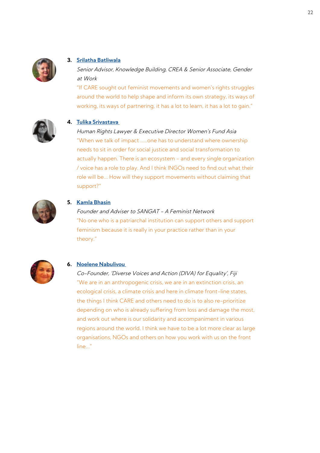

#### **3. [Srilatha Batliwala](https://www.chrysaliscatalyz.com/life-free-from-violence/)**

Senior Advisor, Knowledge Building, CREA & Senior Associate, Gender at Work

"If CARE sought out feminist movements and women's rights struggles around the world to help shape and inform its own strategy, its ways of working, its ways of partnering, it has a lot to learn, it has a lot to gain."



### **4. [Tulika Srivastava](https://www.chrysaliscatalyz.com/life-free-from-violence/)**

Human Rights Lawyer & Executive Director Women's Fund Asia "When we talk of impact .....one has to understand where ownership needs to sit in order for social justice and social transformation to actually happen. There is an ecosystem - and every single organization / voice has a role to play. And I think INGOs need to find out what their role will be... How will they support movements without claiming that support?"



#### **5. [Kamla Bhasin](https://www.chrysaliscatalyz.com/life-free-from-violence/)**

#### Founder and Adviser to SANGAT - A Feminist Network

"No one who is a patriarchal institution can support others and support feminism because it is really in your practice rather than in your theory."



#### **6. [Noelene Nabulivou](https://www.chrysaliscatalyz.com/life-free-from-violence/)**

Co-Founder, 'Diverse Voices and Action (DIVA) for Equality', Fiji "We are in an anthropogenic crisis, we are in an extinction crisis, an ecological crisis, a climate crisis and here in climate front-line states, the things I think CARE and others need to do is to also re-prioritize depending on who is already suffering from loss and damage the most, and work out where is our solidarity and accompaniment in various regions around the world. I think we have to be a lot more clear as large organisations, NGOs and others on how you work with us on the front line..."